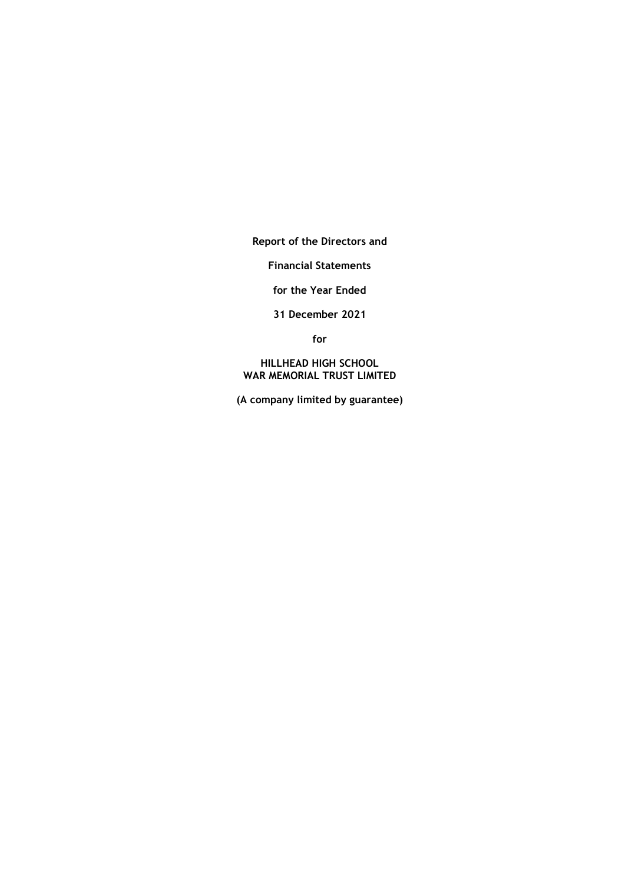**Report of the Directors and**

**Financial Statements**

**for the Year Ended**

**31 December 2021**

**for**

**HILLHEAD HIGH SCHOOL WAR MEMORIAL TRUST LIMITED**

**(A company limited by guarantee)**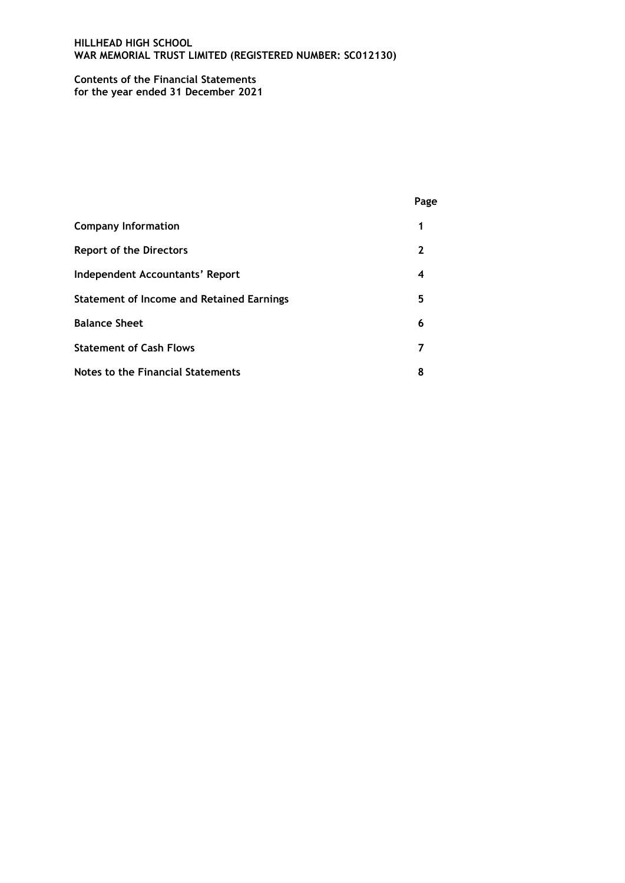## **Contents of the Financial Statements for the year ended 31 December 2021**

|                                                  | Page |
|--------------------------------------------------|------|
| <b>Company Information</b>                       | 1    |
| <b>Report of the Directors</b>                   | 2    |
| Independent Accountants' Report                  | 4    |
| <b>Statement of Income and Retained Earnings</b> | 5    |
| <b>Balance Sheet</b>                             | 6    |
| <b>Statement of Cash Flows</b>                   | 7    |
| <b>Notes to the Financial Statements</b>         | 8    |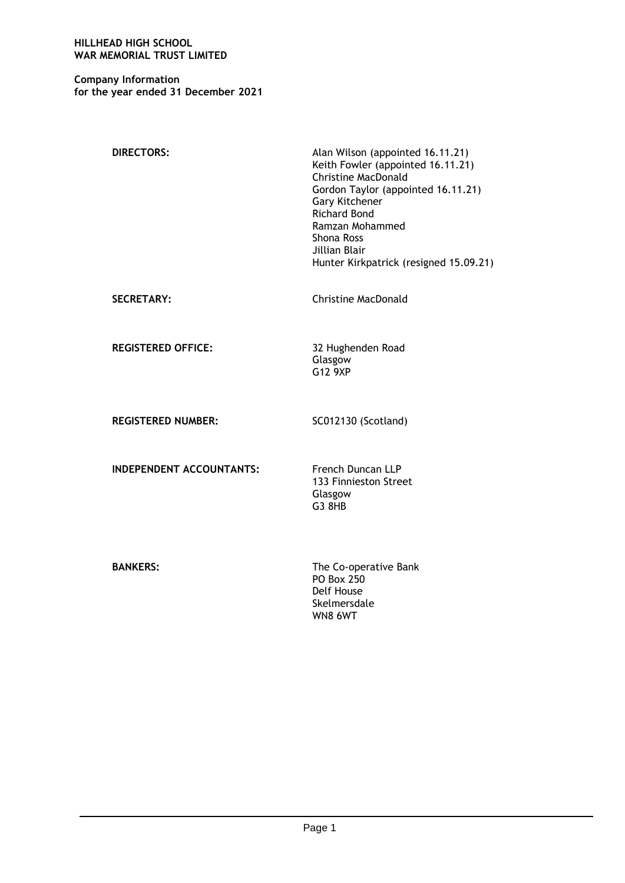**Company Information for the year ended 31 December 2021**

| <b>DIRECTORS:</b>               | Alan Wilson (appointed 16.11.21)<br>Keith Fowler (appointed 16.11.21)<br><b>Christine MacDonald</b><br>Gordon Taylor (appointed 16.11.21)<br>Gary Kitchener<br><b>Richard Bond</b><br>Ramzan Mohammed<br>Shona Ross<br>Jillian Blair<br>Hunter Kirkpatrick (resigned 15.09.21) |
|---------------------------------|--------------------------------------------------------------------------------------------------------------------------------------------------------------------------------------------------------------------------------------------------------------------------------|
| <b>SECRETARY:</b>               | <b>Christine MacDonald</b>                                                                                                                                                                                                                                                     |
| <b>REGISTERED OFFICE:</b>       | 32 Hughenden Road<br>Glasgow<br>G12 9XP                                                                                                                                                                                                                                        |
| <b>REGISTERED NUMBER:</b>       | SC012130 (Scotland)                                                                                                                                                                                                                                                            |
| <b>INDEPENDENT ACCOUNTANTS:</b> | <b>French Duncan LLP</b><br>133 Finnieston Street<br>Glasgow<br>G3 8HB                                                                                                                                                                                                         |
| <b>BANKERS:</b>                 | The Co-operative Bank<br><b>PO Box 250</b><br>Delf House<br>Skelmersdale<br>WN8 6WT                                                                                                                                                                                            |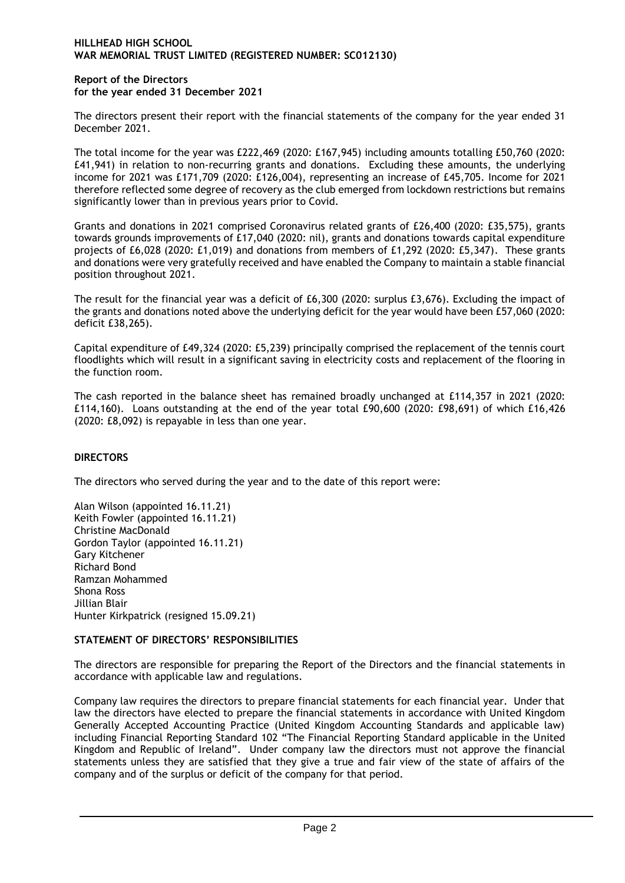### **Report of the Directors for the year ended 31 December 2021**

The directors present their report with the financial statements of the company for the year ended 31 December 2021.

The total income for the year was £222,469 (2020: £167,945) including amounts totalling £50,760 (2020: £41,941) in relation to non-recurring grants and donations. Excluding these amounts, the underlying income for 2021 was £171,709 (2020: £126,004), representing an increase of £45,705. Income for 2021 therefore reflected some degree of recovery as the club emerged from lockdown restrictions but remains significantly lower than in previous years prior to Covid.

Grants and donations in 2021 comprised Coronavirus related grants of £26,400 (2020: £35,575), grants towards grounds improvements of £17,040 (2020: nil), grants and donations towards capital expenditure projects of £6,028 (2020: £1,019) and donations from members of £1,292 (2020: £5,347). These grants and donations were very gratefully received and have enabled the Company to maintain a stable financial position throughout 2021.

The result for the financial year was a deficit of £6,300 (2020: surplus £3,676). Excluding the impact of the grants and donations noted above the underlying deficit for the year would have been £57,060 (2020: deficit £38,265).

Capital expenditure of £49,324 (2020: £5,239) principally comprised the replacement of the tennis court floodlights which will result in a significant saving in electricity costs and replacement of the flooring in the function room.

The cash reported in the balance sheet has remained broadly unchanged at £114,357 in 2021 (2020: £114,160). Loans outstanding at the end of the year total £90,600 (2020: £98,691) of which £16,426 (2020: £8,092) is repayable in less than one year.

# **DIRECTORS**

The directors who served during the year and to the date of this report were:

Alan Wilson (appointed 16.11.21) Keith Fowler (appointed 16.11.21) Christine MacDonald Gordon Taylor (appointed 16.11.21) Gary Kitchener Richard Bond Ramzan Mohammed Shona Ross Jillian Blair Hunter Kirkpatrick (resigned 15.09.21)

## **STATEMENT OF DIRECTORS' RESPONSIBILITIES**

The directors are responsible for preparing the Report of the Directors and the financial statements in accordance with applicable law and regulations.

Company law requires the directors to prepare financial statements for each financial year. Under that law the directors have elected to prepare the financial statements in accordance with United Kingdom Generally Accepted Accounting Practice (United Kingdom Accounting Standards and applicable law) including Financial Reporting Standard 102 "The Financial Reporting Standard applicable in the United Kingdom and Republic of Ireland". Under company law the directors must not approve the financial statements unless they are satisfied that they give a true and fair view of the state of affairs of the company and of the surplus or deficit of the company for that period.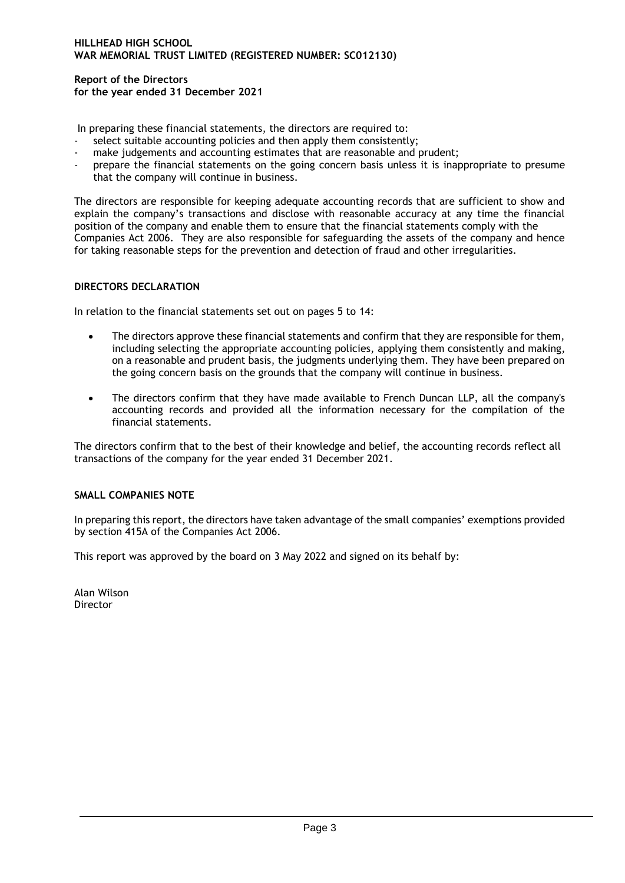**Report of the Directors for the year ended 31 December 2021**

In preparing these financial statements, the directors are required to:

- select suitable accounting policies and then apply them consistently;
- make judgements and accounting estimates that are reasonable and prudent;
- prepare the financial statements on the going concern basis unless it is inappropriate to presume that the company will continue in business.

The directors are responsible for keeping adequate accounting records that are sufficient to show and explain the company's transactions and disclose with reasonable accuracy at any time the financial position of the company and enable them to ensure that the financial statements comply with the Companies Act 2006. They are also responsible for safeguarding the assets of the company and hence for taking reasonable steps for the prevention and detection of fraud and other irregularities.

# **DIRECTORS DECLARATION**

In relation to the financial statements set out on pages 5 to 14:

- The directors approve these financial statements and confirm that they are responsible for them, including selecting the appropriate accounting policies, applying them consistently and making, on a reasonable and prudent basis, the judgments underlying them. They have been prepared on the going concern basis on the grounds that the company will continue in business.
- The directors confirm that they have made available to French Duncan LLP, all the company's accounting records and provided all the information necessary for the compilation of the financial statements.

The directors confirm that to the best of their knowledge and belief, the accounting records reflect all transactions of the company for the year ended 31 December 2021.

# **SMALL COMPANIES NOTE**

In preparing this report, the directors have taken advantage of the small companies' exemptions provided by section 415A of the Companies Act 2006.

This report was approved by the board on 3 May 2022 and signed on its behalf by:

Alan Wilson **Director**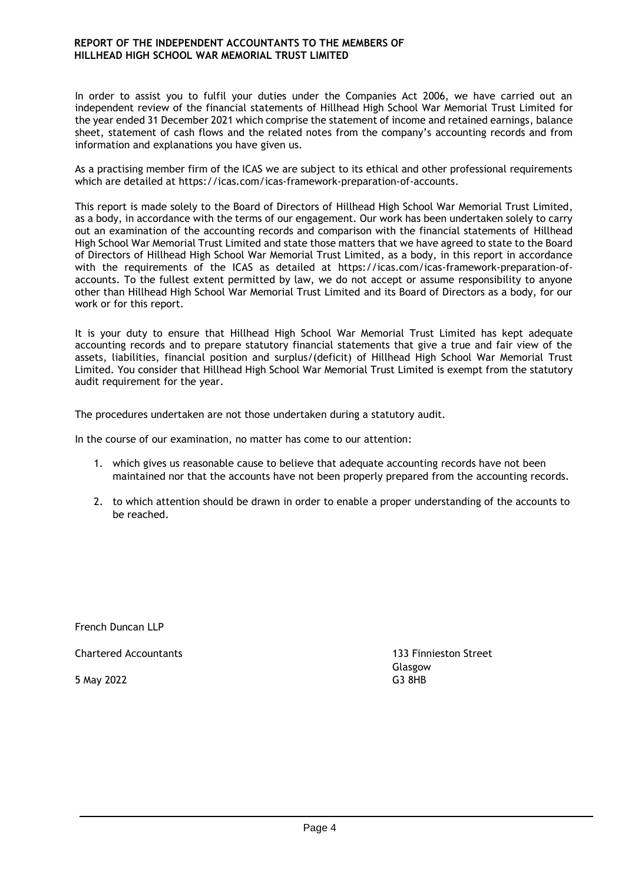In order to assist you to fulfil your duties under the Companies Act 2006, we have carried out an independent review of the financial statements of Hillhead High School War Memorial Trust Limited for the year ended 31 December 2021 which comprise the statement of income and retained earnings, balance sheet, statement of cash flows and the related notes from the company's accounting records and from information and explanations you have given us.

As a practising member firm of the ICAS we are subject to its ethical and other professional requirements which are detailed at https://icas.com/icas-framework-preparation-of-accounts.

This report is made solely to the Board of Directors of Hillhead High School War Memorial Trust Limited, as a body, in accordance with the terms of our engagement. Our work has been undertaken solely to carry out an examination of the accounting records and comparison with the financial statements of Hillhead High School War Memorial Trust Limited and state those matters that we have agreed to state to the Board of Directors of Hillhead High School War Memorial Trust Limited, as a body, in this report in accordance with the requirements of the ICAS as detailed at https://icas.com/icas-framework-preparation-ofaccounts. To the fullest extent permitted by law, we do not accept or assume responsibility to anyone other than Hillhead High School War Memorial Trust Limited and its Board of Directors as a body, for our work or for this report.

It is your duty to ensure that Hillhead High School War Memorial Trust Limited has kept adequate accounting records and to prepare statutory financial statements that give a true and fair view of the assets, liabilities, financial position and surplus/(deficit) of Hillhead High School War Memorial Trust Limited. You consider that Hillhead High School War Memorial Trust Limited is exempt from the statutory audit requirement for the year.

The procedures undertaken are not those undertaken during a statutory audit.

In the course of our examination, no matter has come to our attention:

- 1. which gives us reasonable cause to believe that adequate accounting records have not been maintained nor that the accounts have not been properly prepared from the accounting records.
- 2. to which attention should be drawn in order to enable a proper understanding of the accounts to be reached.

French Duncan LLP

Chartered Accountants 133 Finnieston Street

5 May 2022 G3 8HB

Glasgow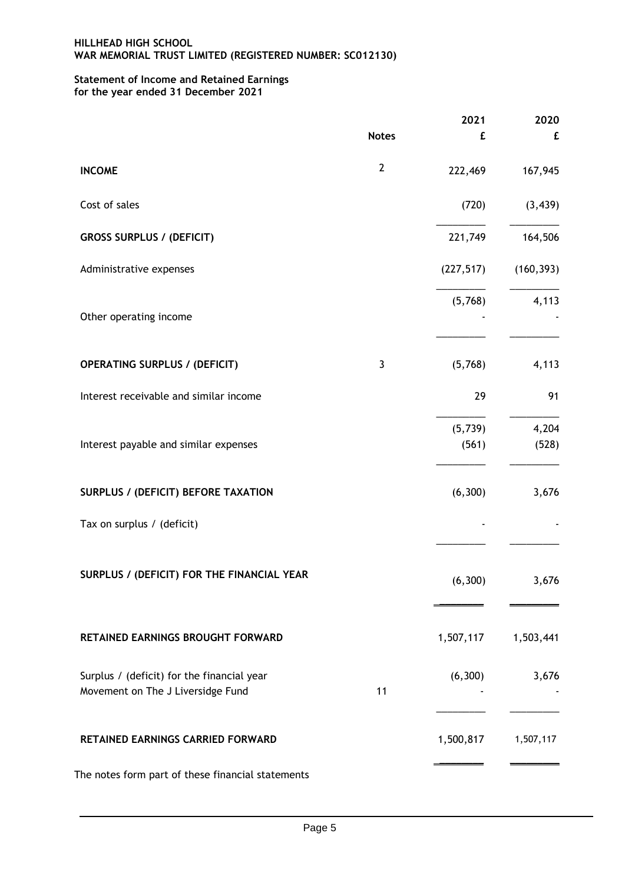# **Statement of Income and Retained Earnings for the year ended 31 December 2021**

|                                                                                 |              | 2021              | 2020           |
|---------------------------------------------------------------------------------|--------------|-------------------|----------------|
|                                                                                 | <b>Notes</b> | £                 | £              |
| <b>INCOME</b>                                                                   | $\mathbf{2}$ | 222,469           | 167,945        |
| Cost of sales                                                                   |              | (720)             | (3, 439)       |
| <b>GROSS SURPLUS / (DEFICIT)</b>                                                |              | 221,749           | 164,506        |
| Administrative expenses                                                         |              | (227, 517)        | (160, 393)     |
| Other operating income                                                          |              | (5,768)           | 4,113          |
| <b>OPERATING SURPLUS / (DEFICIT)</b>                                            | 3            | (5,768)           | 4,113          |
| Interest receivable and similar income                                          |              | 29                | 91             |
| Interest payable and similar expenses                                           |              | (5, 739)<br>(561) | 4,204<br>(528) |
| <b>SURPLUS / (DEFICIT) BEFORE TAXATION</b>                                      |              | (6, 300)          | 3,676          |
| Tax on surplus / (deficit)                                                      |              |                   |                |
| SURPLUS / (DEFICIT) FOR THE FINANCIAL YEAR                                      |              | (6, 300)          | 3,676          |
| RETAINED EARNINGS BROUGHT FORWARD                                               |              | 1,507,117         | 1,503,441      |
| Surplus / (deficit) for the financial year<br>Movement on The J Liversidge Fund | 11           | (6, 300)          | 3,676          |
| RETAINED EARNINGS CARRIED FORWARD                                               |              | 1,500,817         | 1,507,117      |
| The notes form part of these financial statements                               |              |                   |                |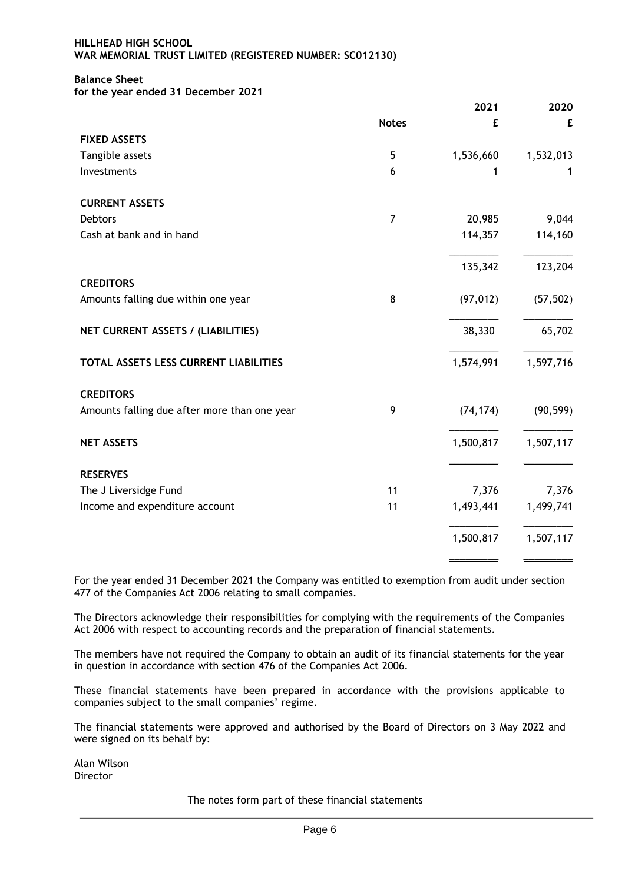# **Balance Sheet**

**for the year ended 31 December 2021**

|                                              |                | 2021      | 2020      |
|----------------------------------------------|----------------|-----------|-----------|
|                                              | <b>Notes</b>   | £         | £         |
| <b>FIXED ASSETS</b>                          |                |           |           |
| Tangible assets                              | 5              | 1,536,660 | 1,532,013 |
| Investments                                  | 6              | 1         |           |
| <b>CURRENT ASSETS</b>                        |                |           |           |
| Debtors                                      | $\overline{7}$ | 20,985    | 9,044     |
| Cash at bank and in hand                     |                | 114,357   | 114,160   |
|                                              |                | 135,342   | 123,204   |
| <b>CREDITORS</b>                             |                |           |           |
| Amounts falling due within one year          | 8              | (97, 012) | (57, 502) |
| NET CURRENT ASSETS / (LIABILITIES)           |                | 38,330    | 65,702    |
| TOTAL ASSETS LESS CURRENT LIABILITIES        |                | 1,574,991 | 1,597,716 |
| <b>CREDITORS</b>                             |                |           |           |
| Amounts falling due after more than one year | 9              | (74, 174) | (90, 599) |
| <b>NET ASSETS</b>                            |                | 1,500,817 | 1,507,117 |
| <b>RESERVES</b>                              |                |           |           |
| The J Liversidge Fund                        | 11             | 7,376     | 7,376     |
| Income and expenditure account               | 11             | 1,493,441 | 1,499,741 |
|                                              |                | 1,500,817 | 1,507,117 |
|                                              |                |           |           |

For the year ended 31 December 2021 the Company was entitled to exemption from audit under section 477 of the Companies Act 2006 relating to small companies.

The Directors acknowledge their responsibilities for complying with the requirements of the Companies Act 2006 with respect to accounting records and the preparation of financial statements.

The members have not required the Company to obtain an audit of its financial statements for the year in question in accordance with section 476 of the Companies Act 2006.

These financial statements have been prepared in accordance with the provisions applicable to companies subject to the small companies' regime.

The financial statements were approved and authorised by the Board of Directors on 3 May 2022 and were signed on its behalf by:

Alan Wilson **Director** 

The notes form part of these financial statements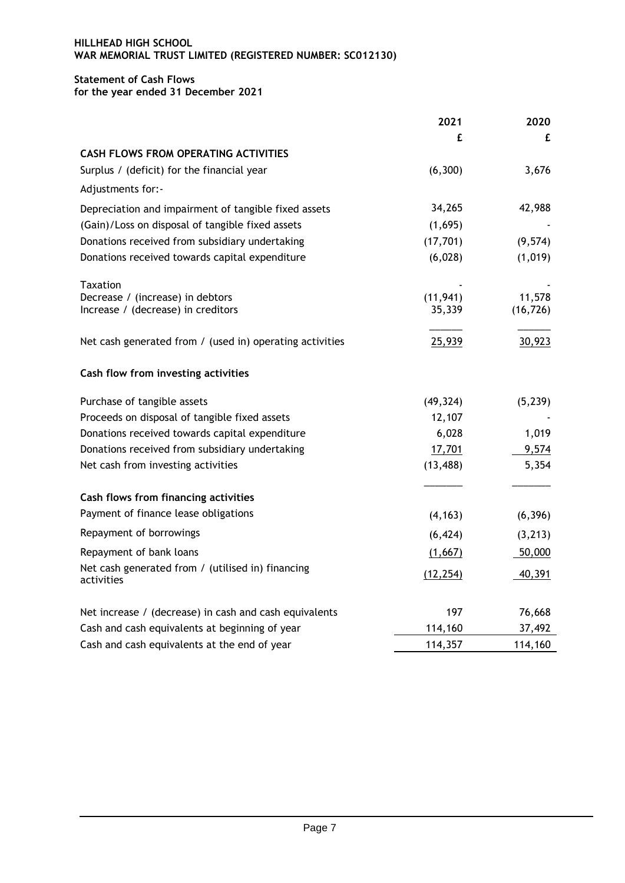## **Statement of Cash Flows for the year ended 31 December 2021**

| £                   |
|---------------------|
|                     |
|                     |
| 3,676               |
|                     |
| 42,988              |
|                     |
| (9, 574)            |
| (1,019)             |
|                     |
| 11,578<br>(16, 726) |
|                     |
| 30,923              |
|                     |
| (5, 239)            |
|                     |
| 1,019               |
| 9,574               |
| 5,354               |
|                     |
| (6, 396)            |
| (3, 213)            |
| 50,000              |
| 40,391              |
| 76,668              |
| 37,492              |
| 114,160             |
|                     |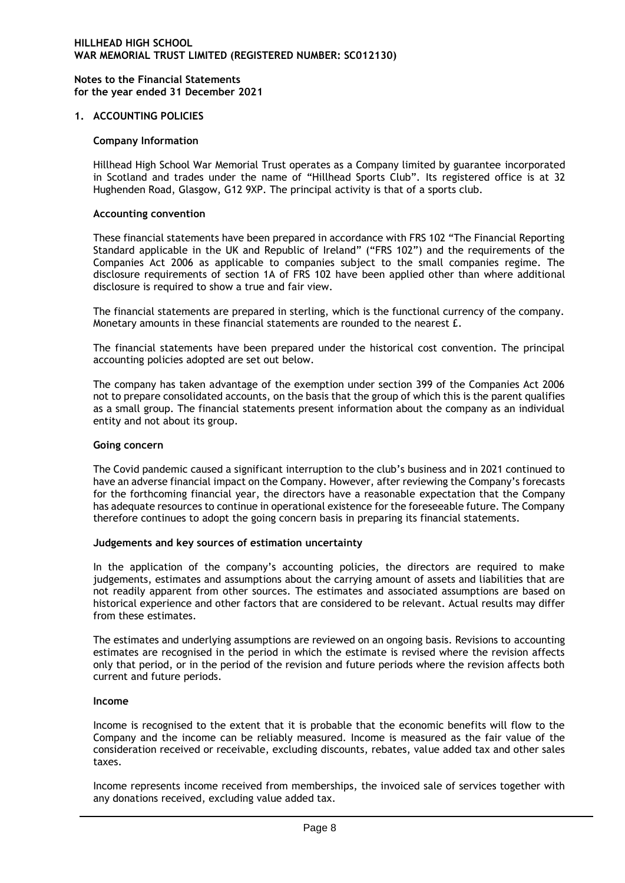### **1. ACCOUNTING POLICIES**

### **Company Information**

Hillhead High School War Memorial Trust operates as a Company limited by guarantee incorporated in Scotland and trades under the name of "Hillhead Sports Club". Its registered office is at 32 Hughenden Road, Glasgow, G12 9XP. The principal activity is that of a sports club.

#### **Accounting convention**

These financial statements have been prepared in accordance with FRS 102 "The Financial Reporting Standard applicable in the UK and Republic of Ireland" ("FRS 102") and the requirements of the Companies Act 2006 as applicable to companies subject to the small companies regime. The disclosure requirements of section 1A of FRS 102 have been applied other than where additional disclosure is required to show a true and fair view.

The financial statements are prepared in sterling, which is the functional currency of the company. Monetary amounts in these financial statements are rounded to the nearest £.

The financial statements have been prepared under the historical cost convention. The principal accounting policies adopted are set out below.

The company has taken advantage of the exemption under section 399 of the Companies Act 2006 not to prepare consolidated accounts, on the basis that the group of which this is the parent qualifies as a small group. The financial statements present information about the company as an individual entity and not about its group.

#### **Going concern**

The Covid pandemic caused a significant interruption to the club's business and in 2021 continued to have an adverse financial impact on the Company. However, after reviewing the Company's forecasts for the forthcoming financial year, the directors have a reasonable expectation that the Company has adequate resources to continue in operational existence for the foreseeable future. The Company therefore continues to adopt the going concern basis in preparing its financial statements.

#### **Judgements and key sources of estimation uncertainty**

In the application of the company's accounting policies, the directors are required to make judgements, estimates and assumptions about the carrying amount of assets and liabilities that are not readily apparent from other sources. The estimates and associated assumptions are based on historical experience and other factors that are considered to be relevant. Actual results may differ from these estimates.

The estimates and underlying assumptions are reviewed on an ongoing basis. Revisions to accounting estimates are recognised in the period in which the estimate is revised where the revision affects only that period, or in the period of the revision and future periods where the revision affects both current and future periods.

#### **Income**

Income is recognised to the extent that it is probable that the economic benefits will flow to the Company and the income can be reliably measured. Income is measured as the fair value of the consideration received or receivable, excluding discounts, rebates, value added tax and other sales taxes.

Income represents income received from memberships, the invoiced sale of services together with any donations received, excluding value added tax.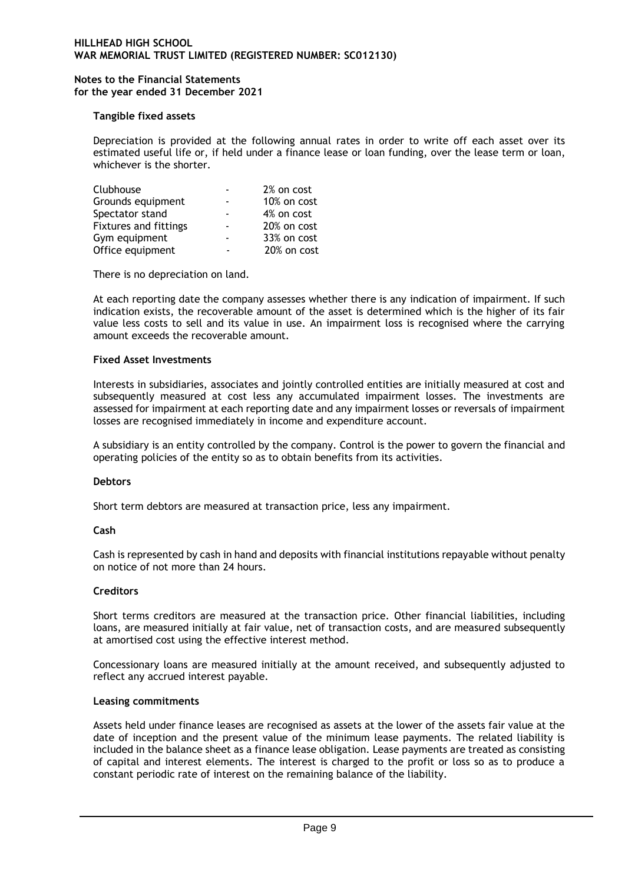## **Tangible fixed assets**

Depreciation is provided at the following annual rates in order to write off each asset over its estimated useful life or, if held under a finance lease or loan funding, over the lease term or loan, whichever is the shorter.

| Clubhouse                    | 2% on cost  |
|------------------------------|-------------|
| Grounds equipment            | 10% on cost |
| Spectator stand              | 4% on cost  |
| <b>Fixtures and fittings</b> | 20% on cost |
| Gym equipment                | 33% on cost |
| Office equipment             | 20% on cost |

There is no depreciation on land.

At each reporting date the company assesses whether there is any indication of impairment. If such indication exists, the recoverable amount of the asset is determined which is the higher of its fair value less costs to sell and its value in use. An impairment loss is recognised where the carrying amount exceeds the recoverable amount.

### **Fixed Asset Investments**

Interests in subsidiaries, associates and jointly controlled entities are initially measured at cost and subsequently measured at cost less any accumulated impairment losses. The investments are assessed for impairment at each reporting date and any impairment losses or reversals of impairment losses are recognised immediately in income and expenditure account.

A subsidiary is an entity controlled by the company. Control is the power to govern the financial and operating policies of the entity so as to obtain benefits from its activities.

#### **Debtors**

Short term debtors are measured at transaction price, less any impairment.

## **Cash**

Cash is represented by cash in hand and deposits with financial institutions repayable without penalty on notice of not more than 24 hours.

#### **Creditors**

Short terms creditors are measured at the transaction price. Other financial liabilities, including loans, are measured initially at fair value, net of transaction costs, and are measured subsequently at amortised cost using the effective interest method.

Concessionary loans are measured initially at the amount received, and subsequently adjusted to reflect any accrued interest payable.

### **Leasing commitments**

Assets held under finance leases are recognised as assets at the lower of the assets fair value at the date of inception and the present value of the minimum lease payments. The related liability is included in the balance sheet as a finance lease obligation. Lease payments are treated as consisting of capital and interest elements. The interest is charged to the profit or loss so as to produce a constant periodic rate of interest on the remaining balance of the liability.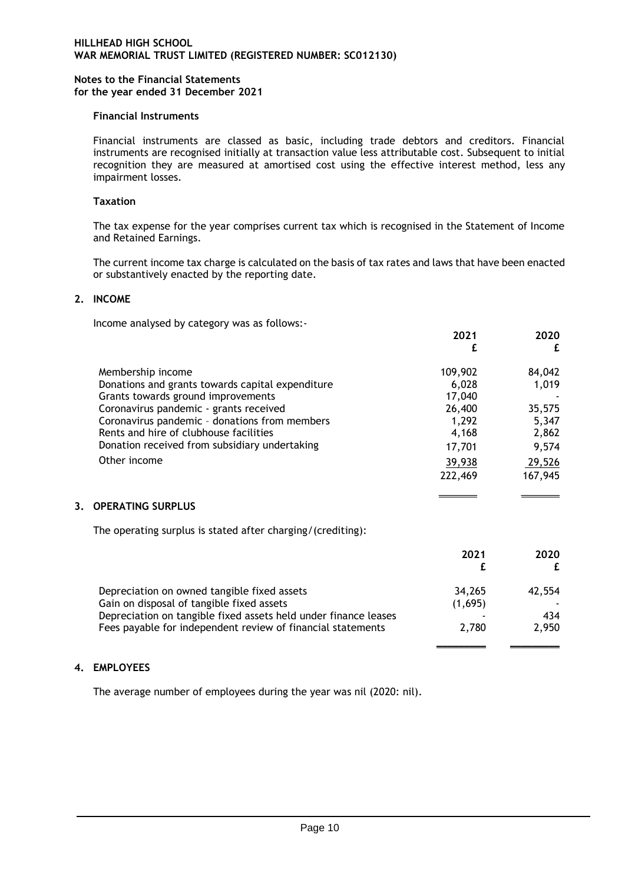### **Financial Instruments**

Financial instruments are classed as basic, including trade debtors and creditors. Financial instruments are recognised initially at transaction value less attributable cost. Subsequent to initial recognition they are measured at amortised cost using the effective interest method, less any impairment losses.

### **Taxation**

The tax expense for the year comprises current tax which is recognised in the Statement of Income and Retained Earnings.

The current income tax charge is calculated on the basis of tax rates and laws that have been enacted or substantively enacted by the reporting date.

### **2. INCOME**

Income analysed by category was as follows:-

|    |                                                                 | 2021<br>£     | 2020<br>£ |
|----|-----------------------------------------------------------------|---------------|-----------|
|    | Membership income                                               | 109,902       | 84,042    |
|    | Donations and grants towards capital expenditure                | 6,028         | 1,019     |
|    | Grants towards ground improvements                              | 17,040        |           |
|    | Coronavirus pandemic - grants received                          | 26,400        | 35,575    |
|    | Coronavirus pandemic - donations from members                   | 1,292         | 5,347     |
|    | Rents and hire of clubhouse facilities                          | 4,168         | 2,862     |
|    | Donation received from subsidiary undertaking                   | 17,701        | 9,574     |
|    | Other income                                                    | <u>39,938</u> | 29,526    |
|    |                                                                 | 222,469       | 167,945   |
| 3. | <b>OPERATING SURPLUS</b>                                        |               |           |
|    | The operating surplus is stated after charging/(crediting):     |               |           |
|    |                                                                 | 2021          | 2020      |
|    |                                                                 | £             | £         |
|    | Depreciation on owned tangible fixed assets                     | 34,265        | 42,554    |
|    | Gain on disposal of tangible fixed assets                       | (1,695)       |           |
|    | Depreciation on tangible fixed assets held under finance leases |               | 434       |
|    | Fees payable for independent review of financial statements     | 2,780         | 2,950     |
|    |                                                                 |               |           |

## **4. EMPLOYEES**

The average number of employees during the year was nil (2020: nil).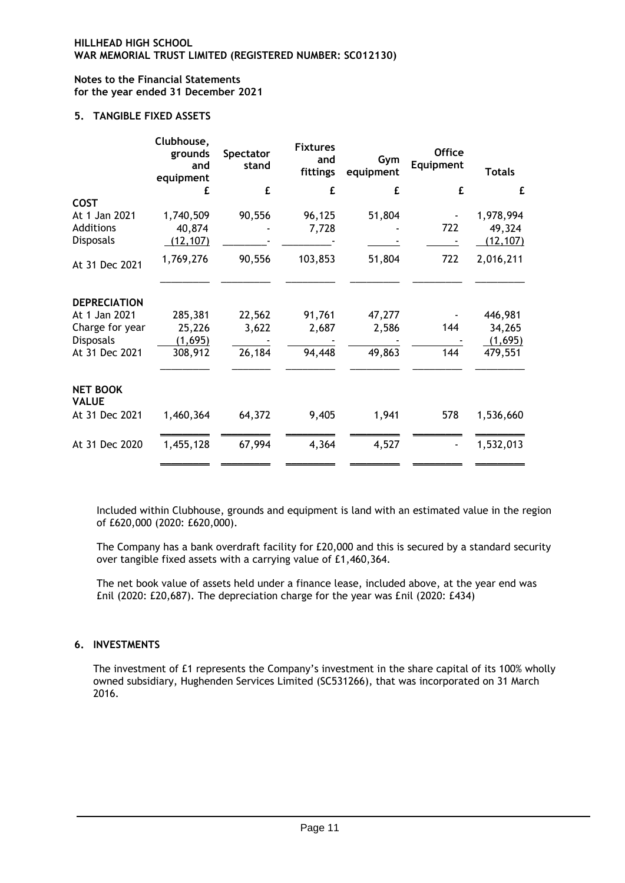# **5. TANGIBLE FIXED ASSETS**

|                                 | Clubhouse,<br>grounds<br>and<br>equipment | Spectator<br>stand | <b>Fixtures</b><br>and<br>fittings | Gym<br>equipment | <b>Office</b><br>Equipment | <b>Totals</b> |
|---------------------------------|-------------------------------------------|--------------------|------------------------------------|------------------|----------------------------|---------------|
|                                 | £                                         | £                  | £                                  | £                | £                          | £             |
| <b>COST</b>                     |                                           |                    |                                    |                  |                            |               |
| At 1 Jan 2021                   | 1,740,509                                 | 90,556             | 96,125                             | 51,804           |                            | 1,978,994     |
| Additions                       | 40,874                                    |                    | 7,728                              |                  | 722                        | 49,324        |
| <b>Disposals</b>                | (12, 107)                                 |                    |                                    |                  |                            | (12, 107)     |
| At 31 Dec 2021                  | 1,769,276                                 | 90,556             | 103,853                            | 51,804           | 722                        | 2,016,211     |
| <b>DEPRECIATION</b>             |                                           |                    |                                    |                  |                            |               |
| At 1 Jan 2021                   | 285,381                                   | 22,562             | 91,761                             | 47,277           |                            | 446,981       |
| Charge for year                 | 25,226                                    | 3,622              | 2,687                              | 2,586            | 144                        | 34,265        |
| <b>Disposals</b>                | (1,695)                                   |                    |                                    |                  |                            | (1,695)       |
| At 31 Dec 2021                  | 308,912                                   | 26,184             | 94,448                             | 49,863           | 144                        | 479,551       |
| <b>NET BOOK</b><br><b>VALUE</b> |                                           |                    |                                    |                  |                            |               |
| At 31 Dec 2021                  | 1,460,364                                 | 64,372             | 9,405                              | 1,941            | 578                        | 1,536,660     |
| At 31 Dec 2020                  | 1,455,128                                 | 67,994             | 4,364                              | 4,527            |                            | 1,532,013     |

Included within Clubhouse, grounds and equipment is land with an estimated value in the region of £620,000 (2020: £620,000).

The Company has a bank overdraft facility for £20,000 and this is secured by a standard security over tangible fixed assets with a carrying value of £1,460,364.

The net book value of assets held under a finance lease, included above, at the year end was £nil (2020: £20,687). The depreciation charge for the year was £nil (2020: £434)

# **6. INVESTMENTS**

The investment of £1 represents the Company's investment in the share capital of its 100% wholly owned subsidiary, Hughenden Services Limited (SC531266), that was incorporated on 31 March 2016.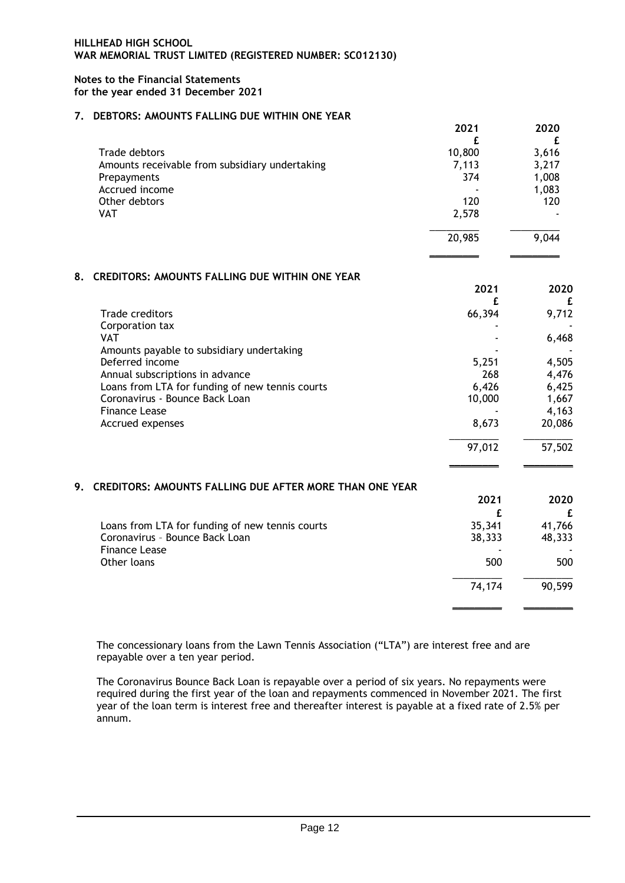## **7. DEBTORS: AMOUNTS FALLING DUE WITHIN ONE YEAR**

|                                                | 2021   | 2020  |
|------------------------------------------------|--------|-------|
|                                                |        |       |
| Trade debtors                                  | 10,800 | 3,616 |
| Amounts receivable from subsidiary undertaking | 7,113  | 3,217 |
| Prepayments                                    | 374    | 1,008 |
| Accrued income                                 |        | 1,083 |
| Other debtors                                  | 120    | 120   |
| <b>VAT</b>                                     | 2,578  |       |
|                                                | 20,985 | 9,044 |
|                                                |        |       |

### **8. CREDITORS: AMOUNTS FALLING DUE WITHIN ONE YEAR**

|                                                            | 2021   | 2020<br>£ |
|------------------------------------------------------------|--------|-----------|
| <b>Trade creditors</b>                                     | 66,394 | 9,712     |
| Corporation tax                                            |        |           |
| <b>VAT</b>                                                 |        | 6,468     |
| Amounts payable to subsidiary undertaking                  |        |           |
| Deferred income                                            | 5,251  | 4,505     |
| Annual subscriptions in advance                            | 268    | 4,476     |
| Loans from LTA for funding of new tennis courts            | 6,426  | 6,425     |
| Coronavirus - Bounce Back Loan                             | 10,000 | 1,667     |
| <b>Finance Lease</b>                                       |        | 4,163     |
| Accrued expenses                                           | 8,673  | 20,086    |
|                                                            | 97,012 | 57,502    |
| 9. CREDITORS: AMOUNTS FALLING DUE AFTER MORE THAN ONE YEAR |        |           |
|                                                            | 2021   | 2020      |
|                                                            | f.     | £         |
| Loans from LTA for funding of new tennis courts            | 35,341 | 41,766    |
| Coronavirus - Bounce Back Loan                             | 38,333 | 48,333    |
| <b>Finance Lease</b>                                       |        |           |
| Other loans                                                | 500    | 500       |
|                                                            | 74,174 | 90,599    |
|                                                            |        |           |

The concessionary loans from the Lawn Tennis Association ("LTA") are interest free and are repayable over a ten year period.

The Coronavirus Bounce Back Loan is repayable over a period of six years. No repayments were required during the first year of the loan and repayments commenced in November 2021. The first year of the loan term is interest free and thereafter interest is payable at a fixed rate of 2.5% per annum.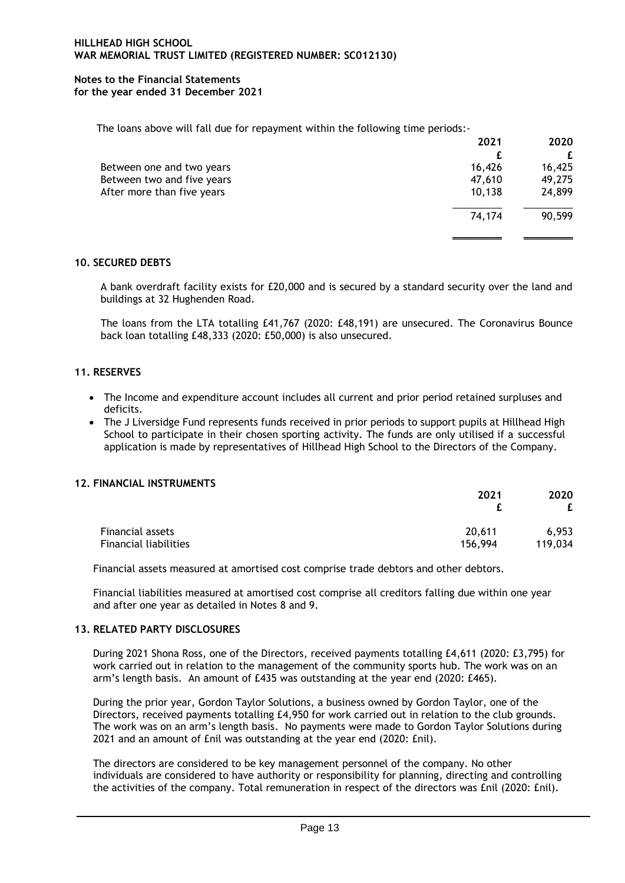The loans above will fall due for repayment within the following time periods:-

|                            | 2021   | 2020   |
|----------------------------|--------|--------|
|                            |        |        |
| Between one and two years  | 16,426 | 16,425 |
| Between two and five years | 47,610 | 49,275 |
| After more than five years | 10,138 | 24,899 |
|                            | 74,174 | 90,599 |
|                            |        |        |

## **10. SECURED DEBTS**

A bank overdraft facility exists for £20,000 and is secured by a standard security over the land and buildings at 32 Hughenden Road.

The loans from the LTA totalling £41,767 (2020: £48,191) are unsecured. The Coronavirus Bounce back loan totalling £48,333 (2020: £50,000) is also unsecured.

## **11. RESERVES**

- The Income and expenditure account includes all current and prior period retained surpluses and deficits.
- The J Liversidge Fund represents funds received in prior periods to support pupils at Hillhead High School to participate in their chosen sporting activity. The funds are only utilised if a successful application is made by representatives of Hillhead High School to the Directors of the Company.

## **12. FINANCIAL INSTRUMENTS**

|                       | 2021    | 2020<br>£ |  |
|-----------------------|---------|-----------|--|
| Financial assets      | 20,611  | 6,953     |  |
| Financial liabilities | 156,994 | 119,034   |  |

Financial assets measured at amortised cost comprise trade debtors and other debtors.

Financial liabilities measured at amortised cost comprise all creditors falling due within one year and after one year as detailed in Notes 8 and 9.

#### **13. RELATED PARTY DISCLOSURES**

During 2021 Shona Ross, one of the Directors, received payments totalling £4,611 (2020: £3,795) for work carried out in relation to the management of the community sports hub. The work was on an arm's length basis. An amount of £435 was outstanding at the year end (2020: £465).

During the prior year, Gordon Taylor Solutions, a business owned by Gordon Taylor, one of the Directors, received payments totalling £4,950 for work carried out in relation to the club grounds. The work was on an arm's length basis. No payments were made to Gordon Taylor Solutions during 2021 and an amount of £nil was outstanding at the year end (2020: £nil).

The directors are considered to be key management personnel of the company. No other individuals are considered to have authority or responsibility for planning, directing and controlling the activities of the company. Total remuneration in respect of the directors was £nil (2020: £nil).